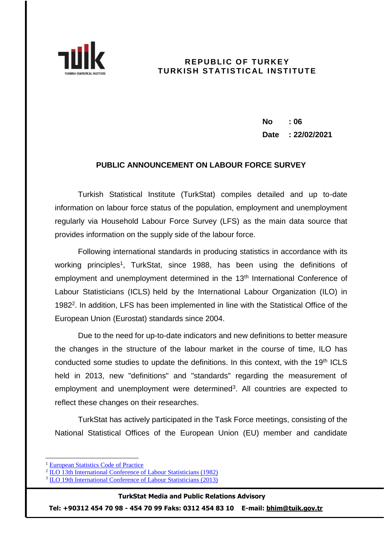

## **REPUBLIC OF TURKEY TURKISH STATISTICAL INSTITUTE**

**No : 06 Date : 22/02/2021**

## **PUBLIC ANNOUNCEMENT ON LABOUR FORCE SURVEY**

Turkish Statistical Institute (TurkStat) compiles detailed and up to-date information on labour force status of the population, employment and unemployment regularly via Household Labour Force Survey (LFS) as the main data source that provides information on the supply side of the labour force.

Following international standards in producing statistics in accordance with its working principles<sup>1</sup>, TurkStat, since 1988, has been using the definitions of employment and unemployment determined in the 13<sup>th</sup> International Conference of Labour Statisticians (ICLS) held by the International Labour Organization (ILO) in 1982<sup>2</sup>. In addition, LFS has been implemented in line with the Statistical Office of the European Union (Eurostat) standards since 2004.

Due to the need for up-to-date indicators and new definitions to better measure the changes in the structure of the labour market in the course of time, ILO has conducted some studies to update the definitions. In this context, with the 19<sup>th</sup> ICLS held in 2013, new "definitions" and "standards" regarding the measurement of employment and unemployment were determined<sup>3</sup>. All countries are expected to reflect these changes on their researches.

TurkStat has actively participated in the Task Force meetings, consisting of the National Statistical Offices of the European Union (EU) member and candidate

 $\overline{a}$ 

### **TurkStat Media and Public Relations Advisory**

**Tel: +90312 454 70 98 - 454 70 99 Faks: 0312 454 83 10 E-mail: [bhim@tuik.gov.tr](mailto:bhim@tuik.gov.tr)**

<sup>1</sup> [European Statistics Code of Practice](https://ec.europa.eu/eurostat/web/products-catalogues/-/KS-02-18-142)

<sup>&</sup>lt;sup>2</sup> [ILO 13th International Conference of Labour Statisticians \(1982\)](https://www.ilo.org/global/statistics-and-databases/standards-and-guidelines/resolutions-adopted-by-international-conferences-of-labour-statisticians/WCMS_087481/lang--en/index.htm)

<sup>&</sup>lt;sup>3</sup> [ILO 19th International Conference of Labour Statisticians \(2013\)](https://www.ilo.org/global/statistics-and-databases/standards-and-guidelines/resolutions-adopted-by-international-conferences-of-labour-statisticians/WCMS_230304/lang--en/index.htm)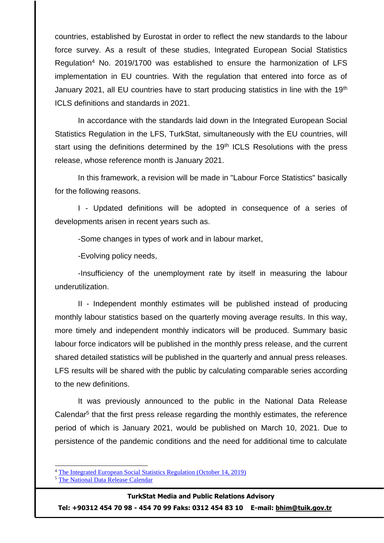countries, established by Eurostat in order to reflect the new standards to the labour force survey. As a result of these studies, Integrated European Social Statistics Regulation<sup>4</sup> No. 2019/1700 was established to ensure the harmonization of LFS implementation in EU countries. With the regulation that entered into force as of January 2021, all EU countries have to start producing statistics in line with the 19<sup>th</sup> ICLS definitions and standards in 2021.

In accordance with the standards laid down in the Integrated European Social Statistics Regulation in the LFS, TurkStat, simultaneously with the EU countries, will start using the definitions determined by the  $19<sup>th</sup>$  ICLS Resolutions with the press release, whose reference month is January 2021.

In this framework, a revision will be made in "Labour Force Statistics" basically for the following reasons.

I - Updated definitions will be adopted in consequence of a series of developments arisen in recent years such as.

-Some changes in types of work and in labour market,

-Evolving policy needs,

-Insufficiency of the unemployment rate by itself in measuring the labour underutilization.

II - Independent monthly estimates will be published instead of producing monthly labour statistics based on the quarterly moving average results. In this way, more timely and independent monthly indicators will be produced. Summary basic labour force indicators will be published in the monthly press release, and the current shared detailed statistics will be published in the quarterly and annual press releases. LFS results will be shared with the public by calculating comparable series according to the new definitions.

It was previously announced to the public in the National Data Release Calendar<sup>5</sup> that the first press release regarding the monthly estimates, the reference period of which is January 2021, would be published on March 10, 2021. Due to persistence of the pandemic conditions and the need for additional time to calculate

-

#### **TurkStat Media and Public Relations Advisory**

**Tel: +90312 454 70 98 - 454 70 99 Faks: 0312 454 83 10 E-mail: [bhim@tuik.gov.tr](mailto:bhim@tuik.gov.tr)**

<sup>4</sup> [The Integrated European Social Statistics](https://eur-lex.europa.eu/legal-content/EN/TXT/?uri=uriserv:OJ.LI.2019.261.01.0001.01.ENG) Regulation (October 14, 2019)

<sup>5</sup> [The National Data Release Calendar](https://www.tuik.gov.tr/Kurumsal/Veri_Takvimi)